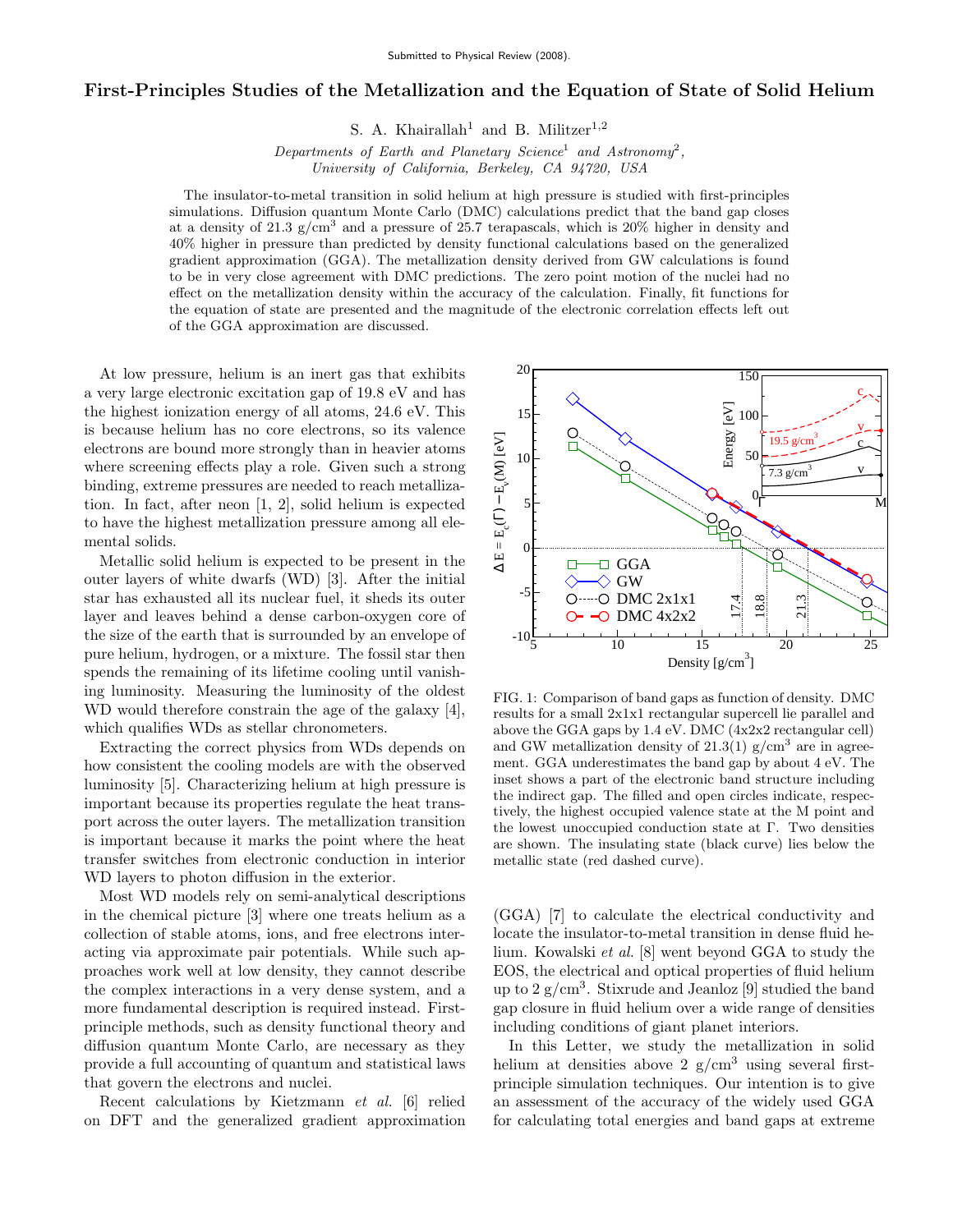## First-Principles Studies of the Metallization and the Equation of State of Solid Helium

S. A. Khairallah<sup>1</sup> and B. Militzer<sup>1,2</sup>

Departments of Earth and Planetary Science<sup>1</sup> and Astronomy<sup>2</sup>, University of California, Berkeley, CA 94720, USA

The insulator-to-metal transition in solid helium at high pressure is studied with first-principles simulations. Diffusion quantum Monte Carlo (DMC) calculations predict that the band gap closes at a density of 21.3  $g/cm<sup>3</sup>$  and a pressure of 25.7 terapascals, which is 20% higher in density and 40% higher in pressure than predicted by density functional calculations based on the generalized gradient approximation (GGA). The metallization density derived from GW calculations is found to be in very close agreement with DMC predictions. The zero point motion of the nuclei had no effect on the metallization density within the accuracy of the calculation. Finally, fit functions for the equation of state are presented and the magnitude of the electronic correlation effects left out of the GGA approximation are discussed.

At low pressure, helium is an inert gas that exhibits a very large electronic excitation gap of 19.8 eV and has the highest ionization energy of all atoms, 24.6 eV. This is because helium has no core electrons, so its valence electrons are bound more strongly than in heavier atoms where screening effects play a role. Given such a strong binding, extreme pressures are needed to reach metallization. In fact, after neon [1, 2], solid helium is expected to have the highest metallization pressure among all elemental solids.

Metallic solid helium is expected to be present in the outer layers of white dwarfs (WD) [3]. After the initial star has exhausted all its nuclear fuel, it sheds its outer layer and leaves behind a dense carbon-oxygen core of the size of the earth that is surrounded by an envelope of pure helium, hydrogen, or a mixture. The fossil star then spends the remaining of its lifetime cooling until vanishing luminosity. Measuring the luminosity of the oldest WD would therefore constrain the age of the galaxy [4], which qualifies WDs as stellar chronometers.

Extracting the correct physics from WDs depends on how consistent the cooling models are with the observed luminosity [5]. Characterizing helium at high pressure is important because its properties regulate the heat transport across the outer layers. The metallization transition is important because it marks the point where the heat transfer switches from electronic conduction in interior WD layers to photon diffusion in the exterior.

Most WD models rely on semi-analytical descriptions in the chemical picture [3] where one treats helium as a collection of stable atoms, ions, and free electrons interacting via approximate pair potentials. While such approaches work well at low density, they cannot describe the complex interactions in a very dense system, and a more fundamental description is required instead. Firstprinciple methods, such as density functional theory and diffusion quantum Monte Carlo, are necessary as they provide a full accounting of quantum and statistical laws that govern the electrons and nuclei.

Recent calculations by Kietzmann et al. [6] relied on DFT and the generalized gradient approximation



FIG. 1: Comparison of band gaps as function of density. DMC results for a small 2x1x1 rectangular supercell lie parallel and above the GGA gaps by 1.4 eV. DMC (4x2x2 rectangular cell) and GW metallization density of  $21.3(1)$  g/cm<sup>3</sup> are in agreement. GGA underestimates the band gap by about 4 eV. The inset shows a part of the electronic band structure including the indirect gap. The filled and open circles indicate, respectively, the highest occupied valence state at the M point and the lowest unoccupied conduction state at Γ. Two densities are shown. The insulating state (black curve) lies below the metallic state (red dashed curve).

(GGA) [7] to calculate the electrical conductivity and locate the insulator-to-metal transition in dense fluid helium. Kowalski et al. [8] went beyond GGA to study the EOS, the electrical and optical properties of fluid helium up to 2 g/cm<sup>3</sup> . Stixrude and Jeanloz [9] studied the band gap closure in fluid helium over a wide range of densities including conditions of giant planet interiors.

In this Letter, we study the metallization in solid helium at densities above 2  $g/cm^3$  using several firstprinciple simulation techniques. Our intention is to give an assessment of the accuracy of the widely used GGA for calculating total energies and band gaps at extreme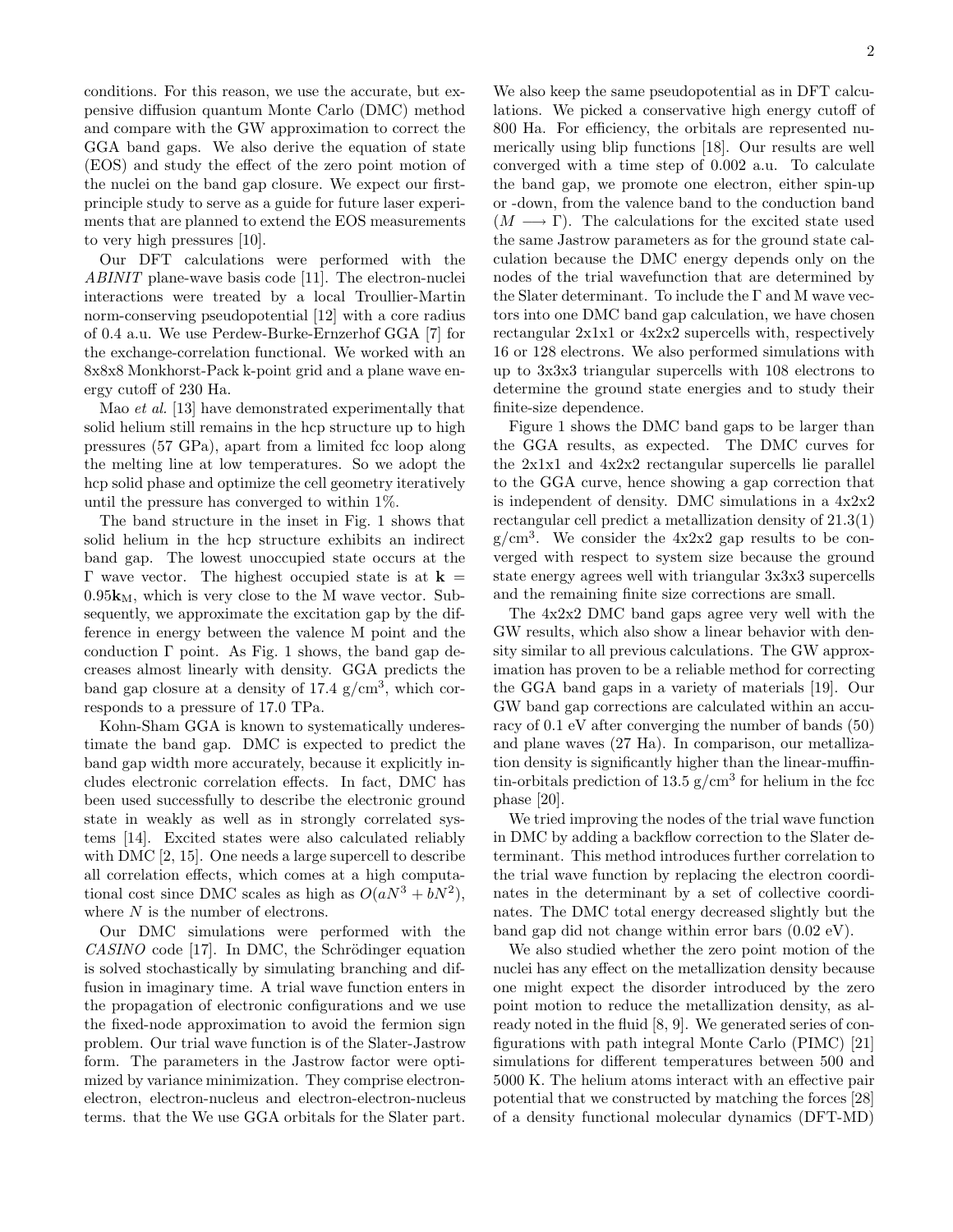conditions. For this reason, we use the accurate, but expensive diffusion quantum Monte Carlo (DMC) method and compare with the GW approximation to correct the GGA band gaps. We also derive the equation of state (EOS) and study the effect of the zero point motion of the nuclei on the band gap closure. We expect our firstprinciple study to serve as a guide for future laser experiments that are planned to extend the EOS measurements to very high pressures [10].

Our DFT calculations were performed with the ABINIT plane-wave basis code [11]. The electron-nuclei interactions were treated by a local Troullier-Martin norm-conserving pseudopotential [12] with a core radius of 0.4 a.u. We use Perdew-Burke-Ernzerhof GGA [7] for the exchange-correlation functional. We worked with an 8x8x8 Monkhorst-Pack k-point grid and a plane wave energy cutoff of 230 Ha.

Mao et al. [13] have demonstrated experimentally that solid helium still remains in the hcp structure up to high pressures (57 GPa), apart from a limited fcc loop along the melting line at low temperatures. So we adopt the hcp solid phase and optimize the cell geometry iteratively until the pressure has converged to within 1%.

The band structure in the inset in Fig. 1 shows that solid helium in the hcp structure exhibits an indirect band gap. The lowest unoccupied state occurs at the Γ wave vector. The highest occupied state is at  **=**  $0.95k_M$ , which is very close to the M wave vector. Subsequently, we approximate the excitation gap by the difference in energy between the valence M point and the conduction Γ point. As Fig. 1 shows, the band gap decreases almost linearly with density. GGA predicts the band gap closure at a density of  $17.4 \text{ g/cm}^3$ , which corresponds to a pressure of 17.0 TPa.

Kohn-Sham GGA is known to systematically underestimate the band gap. DMC is expected to predict the band gap width more accurately, because it explicitly includes electronic correlation effects. In fact, DMC has been used successfully to describe the electronic ground state in weakly as well as in strongly correlated systems [14]. Excited states were also calculated reliably with DMC [2, 15]. One needs a large supercell to describe all correlation effects, which comes at a high computational cost since DMC scales as high as  $O(aN^3 + bN^2)$ , where  $N$  is the number of electrons.

Our DMC simulations were performed with the  $CASINO$  code [17]. In DMC, the Schrödinger equation is solved stochastically by simulating branching and diffusion in imaginary time. A trial wave function enters in the propagation of electronic configurations and we use the fixed-node approximation to avoid the fermion sign problem. Our trial wave function is of the Slater-Jastrow form. The parameters in the Jastrow factor were optimized by variance minimization. They comprise electronelectron, electron-nucleus and electron-electron-nucleus terms. that the We use GGA orbitals for the Slater part.

We also keep the same pseudopotential as in DFT calculations. We picked a conservative high energy cutoff of 800 Ha. For efficiency, the orbitals are represented numerically using blip functions [18]. Our results are well converged with a time step of 0.002 a.u. To calculate the band gap, we promote one electron, either spin-up or -down, from the valence band to the conduction band  $(M \longrightarrow \Gamma)$ . The calculations for the excited state used the same Jastrow parameters as for the ground state calculation because the DMC energy depends only on the nodes of the trial wavefunction that are determined by the Slater determinant. To include the Γ and M wave vectors into one DMC band gap calculation, we have chosen rectangular 2x1x1 or 4x2x2 supercells with, respectively 16 or 128 electrons. We also performed simulations with up to 3x3x3 triangular supercells with 108 electrons to determine the ground state energies and to study their finite-size dependence.

Figure 1 shows the DMC band gaps to be larger than the GGA results, as expected. The DMC curves for the 2x1x1 and 4x2x2 rectangular supercells lie parallel to the GGA curve, hence showing a gap correction that is independent of density. DMC simulations in a 4x2x2 rectangular cell predict a metallization density of 21.3(1)  $g/cm<sup>3</sup>$ . We consider the  $4x2x2$  gap results to be converged with respect to system size because the ground state energy agrees well with triangular 3x3x3 supercells and the remaining finite size corrections are small.

The 4x2x2 DMC band gaps agree very well with the GW results, which also show a linear behavior with density similar to all previous calculations. The GW approximation has proven to be a reliable method for correcting the GGA band gaps in a variety of materials [19]. Our GW band gap corrections are calculated within an accuracy of 0.1 eV after converging the number of bands (50) and plane waves (27 Ha). In comparison, our metallization density is significantly higher than the linear-muffintin-orbitals prediction of 13.5  $g/cm^3$  for helium in the fcc phase [20].

We tried improving the nodes of the trial wave function in DMC by adding a backflow correction to the Slater determinant. This method introduces further correlation to the trial wave function by replacing the electron coordinates in the determinant by a set of collective coordinates. The DMC total energy decreased slightly but the band gap did not change within error bars (0.02 eV).

We also studied whether the zero point motion of the nuclei has any effect on the metallization density because one might expect the disorder introduced by the zero point motion to reduce the metallization density, as already noted in the fluid [8, 9]. We generated series of configurations with path integral Monte Carlo (PIMC) [21] simulations for different temperatures between 500 and 5000 K. The helium atoms interact with an effective pair potential that we constructed by matching the forces [28] of a density functional molecular dynamics (DFT-MD)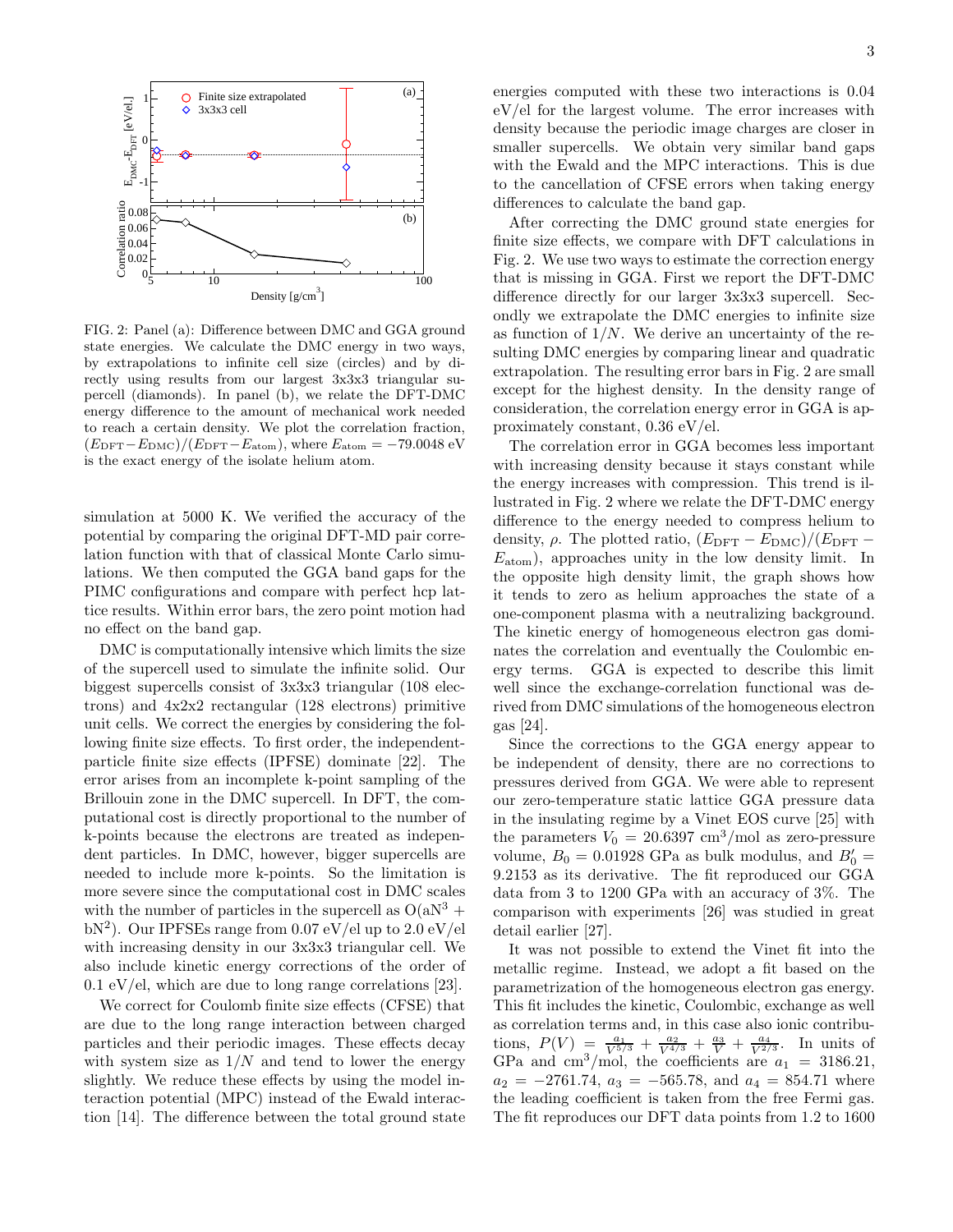

FIG. 2: Panel (a): Difference between DMC and GGA ground state energies. We calculate the DMC energy in two ways, by extrapolations to infinite cell size (circles) and by directly using results from our largest 3x3x3 triangular supercell (diamonds). In panel (b), we relate the DFT-DMC energy difference to the amount of mechanical work needed to reach a certain density. We plot the correlation fraction,  $(E_{\text{DFT}}-E_{\text{DMC}})/(E_{\text{DFT}}-E_{\text{atom}})$ , where  $E_{\text{atom}} = -79.0048 \text{ eV}$ is the exact energy of the isolate helium atom.

simulation at 5000 K. We verified the accuracy of the potential by comparing the original DFT-MD pair correlation function with that of classical Monte Carlo simulations. We then computed the GGA band gaps for the PIMC configurations and compare with perfect hcp lattice results. Within error bars, the zero point motion had no effect on the band gap.

DMC is computationally intensive which limits the size of the supercell used to simulate the infinite solid. Our biggest supercells consist of 3x3x3 triangular (108 electrons) and 4x2x2 rectangular (128 electrons) primitive unit cells. We correct the energies by considering the following finite size effects. To first order, the independentparticle finite size effects (IPFSE) dominate [22]. The error arises from an incomplete k-point sampling of the Brillouin zone in the DMC supercell. In DFT, the computational cost is directly proportional to the number of k-points because the electrons are treated as independent particles. In DMC, however, bigger supercells are needed to include more k-points. So the limitation is more severe since the computational cost in DMC scales with the number of particles in the supercell as  $O(aN^3 +$ bN<sup>2</sup>). Our IPFSEs range from 0.07 eV/el up to 2.0 eV/el with increasing density in our 3x3x3 triangular cell. We also include kinetic energy corrections of the order of  $0.1 \mathrm{eV}/\mathrm{el}$ , which are due to long range correlations [23].

We correct for Coulomb finite size effects (CFSE) that are due to the long range interaction between charged particles and their periodic images. These effects decay with system size as  $1/N$  and tend to lower the energy slightly. We reduce these effects by using the model interaction potential (MPC) instead of the Ewald interaction [14]. The difference between the total ground state energies computed with these two interactions is 0.04 eV/el for the largest volume. The error increases with density because the periodic image charges are closer in smaller supercells. We obtain very similar band gaps with the Ewald and the MPC interactions. This is due to the cancellation of CFSE errors when taking energy differences to calculate the band gap.

After correcting the DMC ground state energies for finite size effects, we compare with DFT calculations in Fig. 2. We use two ways to estimate the correction energy that is missing in GGA. First we report the DFT-DMC difference directly for our larger 3x3x3 supercell. Secondly we extrapolate the DMC energies to infinite size as function of  $1/N$ . We derive an uncertainty of the resulting DMC energies by comparing linear and quadratic extrapolation. The resulting error bars in Fig. 2 are small except for the highest density. In the density range of consideration, the correlation energy error in GGA is approximately constant, 0.36 eV/el.

The correlation error in GGA becomes less important with increasing density because it stays constant while the energy increases with compression. This trend is illustrated in Fig. 2 where we relate the DFT-DMC energy difference to the energy needed to compress helium to density,  $\rho$ . The plotted ratio,  $(E_{\text{DFT}} - E_{\text{DMC}})/(E_{\text{DFT}} E_{\text{atom}}$ ), approaches unity in the low density limit. In the opposite high density limit, the graph shows how it tends to zero as helium approaches the state of a one-component plasma with a neutralizing background. The kinetic energy of homogeneous electron gas dominates the correlation and eventually the Coulombic energy terms. GGA is expected to describe this limit well since the exchange-correlation functional was derived from DMC simulations of the homogeneous electron gas [24].

Since the corrections to the GGA energy appear to be independent of density, there are no corrections to pressures derived from GGA. We were able to represent our zero-temperature static lattice GGA pressure data in the insulating regime by a Vinet EOS curve [25] with the parameters  $V_0 = 20.6397 \text{ cm}^3/\text{mol}$  as zero-pressure volume,  $B_0 = 0.01928$  GPa as bulk modulus, and  $B'_0 =$ 9.2153 as its derivative. The fit reproduced our GGA data from 3 to 1200 GPa with an accuracy of 3%. The comparison with experiments [26] was studied in great detail earlier [27].

It was not possible to extend the Vinet fit into the metallic regime. Instead, we adopt a fit based on the parametrization of the homogeneous electron gas energy. This fit includes the kinetic, Coulombic, exchange as well as correlation terms and, in this case also ionic contributions,  $P(V) = \frac{a_1}{V^{5/3}} + \frac{a_2}{V^{4/3}} + \frac{a_3}{V} + \frac{a_4}{V^{2/3}}$ . In units of GPa and cm<sup>3</sup>/mol, the coefficients are  $a_1 = 3186.21$ ,  $a_2 = -2761.74, a_3 = -565.78, \text{ and } a_4 = 854.71 \text{ where}$ the leading coefficient is taken from the free Fermi gas. The fit reproduces our DFT data points from 1.2 to 1600